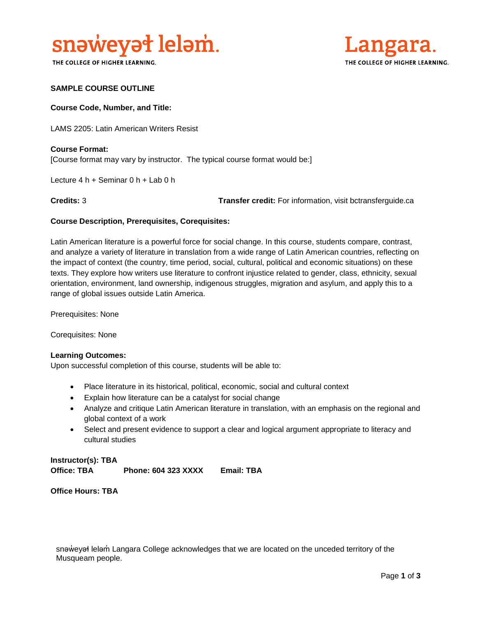

THE COLLEGE OF HIGHER LEARNING.



### **SAMPLE COURSE OUTLINE**

### **Course Code, Number, and Title:**

LAMS 2205: Latin American Writers Resist

**Course Format:** [Course format may vary by instructor. The typical course format would be:]

Lecture 4 h + Seminar 0 h + Lab 0 h

**Credits:** 3 **Transfer credit:** For information, visit bctransferguide.ca

### **Course Description, Prerequisites, Corequisites:**

Latin American literature is a powerful force for social change. In this course, students compare, contrast, and analyze a variety of literature in translation from a wide range of Latin American countries, reflecting on the impact of context (the country, time period, social, cultural, political and economic situations) on these texts. They explore how writers use literature to confront injustice related to gender, class, ethnicity, sexual orientation, environment, land ownership, indigenous struggles, migration and asylum, and apply this to a range of global issues outside Latin America.

Prerequisites: None

Corequisites: None

#### **Learning Outcomes:**

Upon successful completion of this course, students will be able to:

- Place literature in its historical, political, economic, social and cultural context
- Explain how literature can be a catalyst for social change
- Analyze and critique Latin American literature in translation, with an emphasis on the regional and global context of a work
- Select and present evidence to support a clear and logical argument appropriate to literacy and cultural studies

# **Instructor(s): TBA Office: TBA Phone: 604 323 XXXX Email: TBA**

**Office Hours: TBA** 

snəweyał leləm Langara College acknowledges that we are located on the unceded territory of the Musqueam people.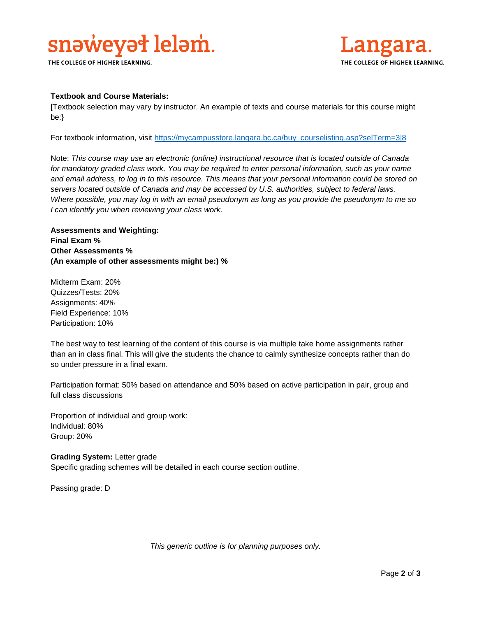# snaweyat lelam.

THE COLLEGE OF HIGHER LEARNING.



### **Textbook and Course Materials:**

[Textbook selection may vary by instructor. An example of texts and course materials for this course might be:}

For textbook information, visit [https://mycampusstore.langara.bc.ca/buy\\_courselisting.asp?selTerm=3|8](https://mycampusstore.langara.bc.ca/buy_courselisting.asp?selTerm=3|8)

Note: *This course may use an electronic (online) instructional resource that is located outside of Canada*  for mandatory graded class work. You may be required to enter personal information, such as your name *and email address, to log in to this resource. This means that your personal information could be stored on servers located outside of Canada and may be accessed by U.S. authorities, subject to federal laws. Where possible, you may log in with an email pseudonym as long as you provide the pseudonym to me so I can identify you when reviewing your class work.* 

**Assessments and Weighting: Final Exam % Other Assessments % (An example of other assessments might be:) %**

Midterm Exam: 20% Quizzes/Tests: 20% Assignments: 40% Field Experience: 10% Participation: 10%

The best way to test learning of the content of this course is via multiple take home assignments rather than an in class final. This will give the students the chance to calmly synthesize concepts rather than do so under pressure in a final exam.

Participation format: 50% based on attendance and 50% based on active participation in pair, group and full class discussions

Proportion of individual and group work: Individual: 80% Group: 20%

**Grading System:** Letter grade Specific grading schemes will be detailed in each course section outline.

Passing grade: D

*This generic outline is for planning purposes only.*